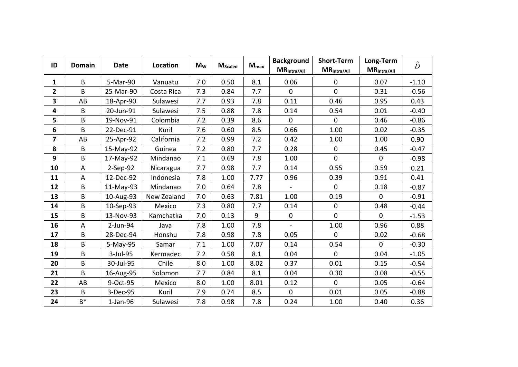| ID                      | <b>Domain</b>             | <b>Date</b> | Location    | $M_W$ | <b>M</b> Scaled | $M_{max}$ | <b>Background</b><br>$MR_{\frac{intra/All}{}}$ | <b>Short-Term</b><br>$MR_{\text{intra/All}}$ | Long-Term<br>$MR_{\frac{intra/All}{}}$ | $\hat{D}$ |
|-------------------------|---------------------------|-------------|-------------|-------|-----------------|-----------|------------------------------------------------|----------------------------------------------|----------------------------------------|-----------|
| 1                       | B                         | 5-Mar-90    | Vanuatu     | 7.0   | 0.50            | 8.1       | 0.06                                           | $\mathbf 0$                                  | 0.07                                   | $-1.10$   |
| $\overline{\mathbf{2}}$ | B                         | 25-Mar-90   | Costa Rica  | 7.3   | 0.84            | 7.7       | 0                                              | $\mathbf 0$                                  | 0.31                                   | $-0.56$   |
| 3                       | AB                        | 18-Apr-90   | Sulawesi    | 7.7   | 0.93            | 7.8       | 0.11                                           | 0.46                                         | 0.95                                   | 0.43      |
| 4                       | B                         | 20-Jun-91   | Sulawesi    | 7.5   | 0.88            | 7.8       | 0.14                                           | 0.54                                         | 0.01                                   | $-0.40$   |
| 5                       | B                         | 19-Nov-91   | Colombia    | 7.2   | 0.39            | 8.6       | $\mathbf{0}$                                   | $\mathbf{0}$                                 | 0.46                                   | $-0.86$   |
| 6                       | B                         | 22-Dec-91   | Kuril       | 7.6   | 0.60            | 8.5       | 0.66                                           | 1.00                                         | 0.02                                   | $-0.35$   |
| 7                       | AB                        | 25-Apr-92   | California  | 7.2   | 0.99            | 7.2       | 0.42                                           | 1.00                                         | 1.00                                   | 0.90      |
| 8                       | B                         | 15-May-92   | Guinea      | 7.2   | 0.80            | 7.7       | 0.28                                           | $\pmb{0}$                                    | 0.45                                   | $-0.47$   |
| 9                       | B                         | 17-May-92   | Mindanao    | 7.1   | 0.69            | 7.8       | 1.00                                           | $\mathbf{0}$                                 | $\mathbf{0}$                           | $-0.98$   |
| 10                      | $\boldsymbol{\mathsf{A}}$ | $2-Sep-92$  | Nicaragua   | 7.7   | 0.98            | 7.7       | 0.14                                           | 0.55                                         | 0.59                                   | 0.21      |
| 11                      | A                         | 12-Dec-92   | Indonesia   | 7.8   | 1.00            | 7.77      | 0.96                                           | 0.39                                         | 0.91                                   | 0.41      |
| 12                      | B                         | 11-May-93   | Mindanao    | 7.0   | 0.64            | 7.8       |                                                | $\Omega$                                     | 0.18                                   | $-0.87$   |
| 13                      | B                         | 10-Aug-93   | New Zealand | 7.0   | 0.63            | 7.81      | 1.00                                           | 0.19                                         | $\mathbf{0}$                           | $-0.91$   |
| 14                      | B                         | 10-Sep-93   | Mexico      | 7.3   | 0.80            | 7.7       | 0.14                                           | $\mathbf 0$                                  | 0.48                                   | $-0.44$   |
| 15                      | B                         | 13-Nov-93   | Kamchatka   | 7.0   | 0.13            | 9         | $\pmb{0}$                                      | $\overline{0}$                               | $\mathbf 0$                            | $-1.53$   |
| 16                      | A                         | 2-Jun-94    | Java        | 7.8   | 1.00            | 7.8       | $\overline{a}$                                 | 1.00                                         | 0.96                                   | 0.88      |
| 17                      | B                         | 28-Dec-94   | Honshu      | 7.8   | 0.98            | 7.8       | 0.05                                           | $\mathbf{0}$                                 | 0.02                                   | $-0.68$   |
| 18                      | B                         | 5-May-95    | Samar       | 7.1   | 1.00            | 7.07      | 0.14                                           | 0.54                                         | $\Omega$                               | $-0.30$   |
| 19                      | B                         | 3-Jul-95    | Kermadec    | 7.2   | 0.58            | 8.1       | 0.04                                           | $\mathbf{0}$                                 | 0.04                                   | $-1.05$   |
| 20                      | B                         | 30-Jul-95   | Chile       | 8.0   | 1.00            | 8.02      | 0.37                                           | 0.01                                         | 0.15                                   | $-0.54$   |
| 21                      | B                         | 16-Aug-95   | Solomon     | 7.7   | 0.84            | 8.1       | 0.04                                           | 0.30                                         | 0.08                                   | $-0.55$   |
| 22                      | AB                        | 9-Oct-95    | Mexico      | 8.0   | 1.00            | 8.01      | 0.12                                           | $\mathbf 0$                                  | 0.05                                   | $-0.64$   |
| 23                      | B                         | 3-Dec-95    | Kuril       | 7.9   | 0.74            | 8.5       | $\mathbf 0$                                    | 0.01                                         | 0.05                                   | $-0.88$   |
| 24                      | $B^*$                     | $1$ -Jan-96 | Sulawesi    | 7.8   | 0.98            | 7.8       | 0.24                                           | 1.00                                         | 0.40                                   | 0.36      |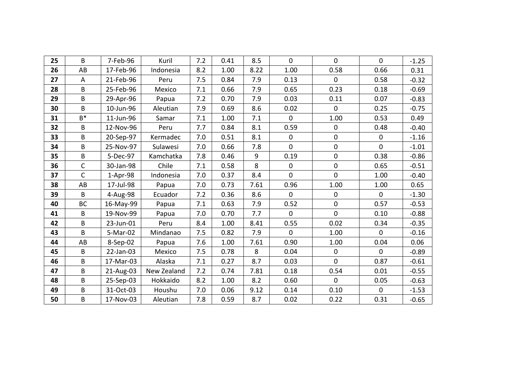| 25 | B            | 7-Feb-96   | Kuril       | 7.2 | 0.41 | 8.5  | $\mathbf 0$    | $\overline{0}$ | $\mathbf 0$  | $-1.25$ |
|----|--------------|------------|-------------|-----|------|------|----------------|----------------|--------------|---------|
| 26 | AB           | 17-Feb-96  | Indonesia   | 8.2 | 1.00 | 8.22 | 1.00           | 0.58           | 0.66         | 0.31    |
| 27 | A            | 21-Feb-96  | Peru        | 7.5 | 0.84 | 7.9  | 0.13           | 0              | 0.58         | $-0.32$ |
| 28 | B            | 25-Feb-96  | Mexico      | 7.1 | 0.66 | 7.9  | 0.65           | 0.23           | 0.18         | $-0.69$ |
| 29 | B            | 29-Apr-96  | Papua       | 7.2 | 0.70 | 7.9  | 0.03           | 0.11           | 0.07         | $-0.83$ |
| 30 | B            | 10-Jun-96  | Aleutian    | 7.9 | 0.69 | 8.6  | 0.02           | $\mathbf 0$    | 0.25         | $-0.75$ |
| 31 | $B^*$        | 11-Jun-96  | Samar       | 7.1 | 1.00 | 7.1  | $\mathbf 0$    | 1.00           | 0.53         | 0.49    |
| 32 | B            | 12-Nov-96  | Peru        | 7.7 | 0.84 | 8.1  | 0.59           | $\pmb{0}$      | 0.48         | $-0.40$ |
| 33 | B            | 20-Sep-97  | Kermadec    | 7.0 | 0.51 | 8.1  | $\mathbf 0$    | $\pmb{0}$      | $\mathbf 0$  | $-1.16$ |
| 34 | B            | 25-Nov-97  | Sulawesi    | 7.0 | 0.66 | 7.8  | $\mathbf 0$    | $\pmb{0}$      | $\mathbf 0$  | $-1.01$ |
| 35 | B            | 5-Dec-97   | Kamchatka   | 7.8 | 0.46 | 9    | 0.19           | $\pmb{0}$      | 0.38         | $-0.86$ |
| 36 | $\mathsf{C}$ | 30-Jan-98  | Chile       | 7.1 | 0.58 | 8    | $\mathbf 0$    | $\pmb{0}$      | 0.65         | $-0.51$ |
| 37 | $\mathsf{C}$ | $1-Apr-98$ | Indonesia   | 7.0 | 0.37 | 8.4  | $\overline{0}$ | $\overline{0}$ | 1.00         | $-0.40$ |
| 38 | AB           | 17-Jul-98  | Papua       | 7.0 | 0.73 | 7.61 | 0.96           | 1.00           | 1.00         | 0.65    |
| 39 | B            | 4-Aug-98   | Ecuador     | 7.2 | 0.36 | 8.6  | $\mathbf 0$    | $\pmb{0}$      | $\mathbf{0}$ | $-1.30$ |
| 40 | <b>BC</b>    | 16-May-99  | Papua       | 7.1 | 0.63 | 7.9  | 0.52           | $\pmb{0}$      | 0.57         | $-0.53$ |
| 41 | B            | 19-Nov-99  | Papua       | 7.0 | 0.70 | 7.7  | $\mathbf 0$    | $\overline{0}$ | 0.10         | $-0.88$ |
| 42 | B            | 23-Jun-01  | Peru        | 8.4 | 1.00 | 8.41 | 0.55           | 0.02           | 0.34         | $-0.35$ |
| 43 | B            | 5-Mar-02   | Mindanao    | 7.5 | 0.82 | 7.9  | $\mathbf{0}$   | 1.00           | $\Omega$     | $-0.16$ |
| 44 | AB           | 8-Sep-02   | Papua       | 7.6 | 1.00 | 7.61 | 0.90           | 1.00           | 0.04         | 0.06    |
| 45 | B            | 22-Jan-03  | Mexico      | 7.5 | 0.78 | 8    | 0.04           | $\mathbf 0$    | $\Omega$     | $-0.89$ |
| 46 | B            | 17-Mar-03  | Alaska      | 7.1 | 0.27 | 8.7  | 0.03           | $\overline{0}$ | 0.87         | $-0.61$ |
| 47 | B            | 21-Aug-03  | New Zealand | 7.2 | 0.74 | 7.81 | 0.18           | 0.54           | 0.01         | $-0.55$ |
| 48 | B            | 25-Sep-03  | Hokkaido    | 8.2 | 1.00 | 8.2  | 0.60           | 0              | 0.05         | $-0.63$ |
| 49 | B            | 31-Oct-03  | Houshu      | 7.0 | 0.06 | 9.12 | 0.14           | 0.10           | $\mathbf 0$  | $-1.53$ |
| 50 | B            | 17-Nov-03  | Aleutian    | 7.8 | 0.59 | 8.7  | 0.02           | 0.22           | 0.31         | $-0.65$ |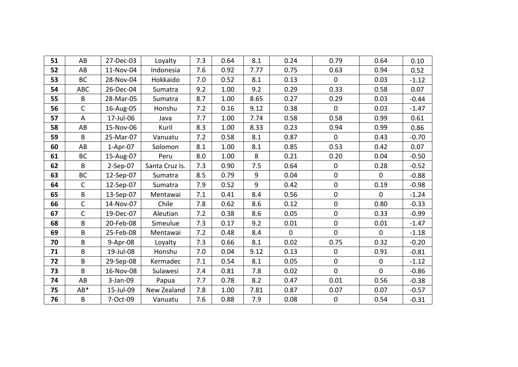| 51 | AB           | 27-Dec-03  | Loyalty        | 7.3 | 0.64 | 8.1  | 0.24        | 0.79             | 0.64         | 0.10    |
|----|--------------|------------|----------------|-----|------|------|-------------|------------------|--------------|---------|
| 52 | AB           | 11-Nov-04  | Indonesia      | 7.6 | 0.92 | 7.77 | 0.75        | 0.63             | 0.94         | 0.52    |
| 53 | BC           | 28-Nov-04  | Hokkaido       | 7.0 | 0.52 | 8.1  | 0.13        | $\mathbf{0}$     | 0.03         | $-1.12$ |
| 54 | <b>ABC</b>   | 26-Dec-04  | Sumatra        | 9.2 | 1.00 | 9.2  | 0.29        | 0.33             | 0.58         | 0.07    |
| 55 | B            | 28-Mar-05  | Sumatra        | 8.7 | 1.00 | 8.65 | 0.27        | 0.29             | 0.03         | $-0.44$ |
| 56 | $\mathsf{C}$ | 16-Aug-05  | Honshu         | 7.2 | 0.16 | 9.12 | 0.38        | $\mathbf{0}$     | 0.03         | $-1.47$ |
| 57 | A            | 17-Jul-06  | Java           | 7.7 | 1.00 | 7.74 | 0.58        | 0.58             | 0.99         | 0.61    |
| 58 | AB           | 15-Nov-06  | Kuril          | 8.3 | 1.00 | 8.33 | 0.23        | 0.94             | 0.99         | 0.86    |
| 59 | $\mathsf{B}$ | 25-Mar-07  | Vanuatu        | 7.2 | 0.58 | 8.1  | 0.87        | $\mathbf{0}$     | 0.43         | $-0.70$ |
| 60 | AB           | $1-Apr-07$ | Solomon        | 8.1 | 1.00 | 8.1  | 0.85        | 0.53             | 0.42         | 0.07    |
| 61 | BC           | 15-Aug-07  | Peru           | 8.0 | 1.00 | 8    | 0.21        | 0.20             | 0.04         | $-0.50$ |
| 62 | $\sf B$      | $2-Sep-07$ | Santa Cruz Is. | 7.3 | 0.90 | 7.5  | 0.64        | $\mathbf 0$      | 0.28         | $-0.52$ |
| 63 | <b>BC</b>    | 12-Sep-07  | Sumatra        | 8.5 | 0.79 | 9    | 0.04        | $\mathbf 0$      | $\mathbf{0}$ | $-0.88$ |
| 64 | C            | 12-Sep-07  | Sumatra        | 7.9 | 0.52 | 9    | 0.42        | $\pmb{0}$        | 0.19         | $-0.98$ |
| 65 | $\sf{B}$     | 13-Sep-07  | Mentawai       | 7.1 | 0.41 | 8.4  | 0.56        | $\boldsymbol{0}$ | $\mathbf 0$  | $-1.24$ |
| 66 | C            | 14-Nov-07  | Chile          | 7.8 | 0.62 | 8.6  | 0.12        | $\pmb{0}$        | 0.80         | $-0.33$ |
| 67 | $\mathsf{C}$ | 19-Dec-07  | Aleutian       | 7.2 | 0.38 | 8.6  | 0.05        | $\pmb{0}$        | 0.33         | $-0.99$ |
| 68 | $\sf B$      | 20-Feb-08  | Simeulue       | 7.3 | 0.17 | 9.2  | 0.01        | $\pmb{0}$        | 0.01         | $-1.47$ |
| 69 | B            | 25-Feb-08  | Mentawai       | 7.2 | 0.48 | 8.4  | $\mathbf 0$ | $\Omega$         | $\mathbf{0}$ | $-1.18$ |
| 70 | B            | 9-Apr-08   | Loyalty        | 7.3 | 0.66 | 8.1  | 0.02        | 0.75             | 0.32         | $-0.20$ |
| 71 | B            | 19-Jul-08  | Honshu         | 7.0 | 0.04 | 9.12 | 0.13        | $\mathbf 0$      | 0.91         | $-0.81$ |
| 72 | $\sf B$      | 29-Sep-08  | Kermadec       | 7.1 | 0.54 | 8.1  | 0.05        | $\pmb{0}$        | $\mathbf 0$  | $-1.12$ |
| 73 | B            | 16-Nov-08  | Sulawesi       | 7.4 | 0.81 | 7.8  | 0.02        | $\mathbf 0$      | $\mathbf{0}$ | $-0.86$ |
| 74 | AB           | 3-Jan-09   | Papua          | 7.7 | 0.78 | 8.2  | 0.47        | 0.01             | 0.56         | $-0.38$ |
| 75 | $AB*$        | 15-Jul-09  | New Zealand    | 7.8 | 1.00 | 7.81 | 0.87        | 0.07             | 0.07         | $-0.57$ |
| 76 | B            | 7-Oct-09   | Vanuatu        | 7.6 | 0.88 | 7.9  | 0.08        | $\mathbf 0$      | 0.54         | $-0.31$ |